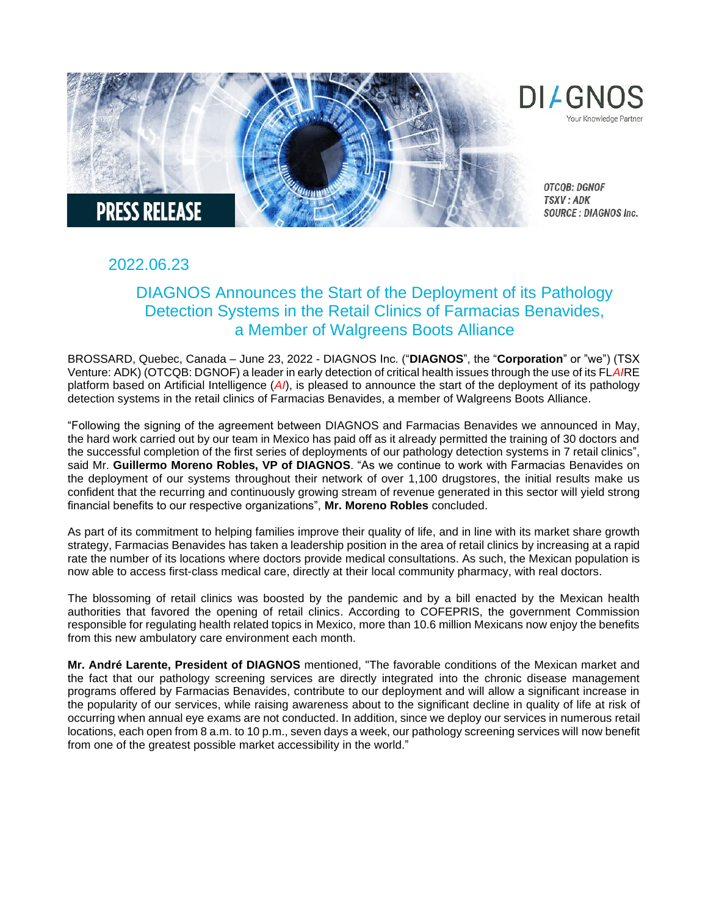

# 2022.06.23

# DIAGNOS Announces the Start of the Deployment of its Pathology Detection Systems in the Retail Clinics of Farmacias Benavides, a Member of Walgreens Boots Alliance

BROSSARD, Quebec, Canada – June 23, 2022 - DIAGNOS Inc. ("**DIAGNOS**", the "**Corporation**" or "we") (TSX Venture: ADK) (OTCQB: DGNOF) a leader in early detection of critical health issues through the use of its FL*AI*RE platform based on Artificial Intelligence (*AI*), is pleased to announce the start of the deployment of its pathology detection systems in the retail clinics of Farmacias Benavides, a member of Walgreens Boots Alliance.

"Following the signing of the agreement between DIAGNOS and Farmacias Benavides we announced in May, the hard work carried out by our team in Mexico has paid off as it already permitted the training of 30 doctors and the successful completion of the first series of deployments of our pathology detection systems in 7 retail clinics", said Mr. **Guillermo Moreno Robles, VP of DIAGNOS**. "As we continue to work with Farmacias Benavides on the deployment of our systems throughout their network of over 1,100 drugstores, the initial results make us confident that the recurring and continuously growing stream of revenue generated in this sector will yield strong financial benefits to our respective organizations", **Mr. Moreno Robles** concluded.

As part of its commitment to helping families improve their quality of life, and in line with its market share growth strategy, Farmacias Benavides has taken a leadership position in the area of retail clinics by increasing at a rapid rate the number of its locations where doctors provide medical consultations. As such, the Mexican population is now able to access first-class medical care, directly at their local community pharmacy, with real doctors.

The blossoming of retail clinics was boosted by the pandemic and by a bill enacted by the Mexican health authorities that favored the opening of retail clinics. According to COFEPRIS, the government Commission responsible for regulating health related topics in Mexico, more than 10.6 million Mexicans now enjoy the benefits from this new ambulatory care environment each month.

**Mr. André Larente, President of DIAGNOS** mentioned, "The favorable conditions of the Mexican market and the fact that our pathology screening services are directly integrated into the chronic disease management programs offered by Farmacias Benavides, contribute to our deployment and will allow a significant increase in the popularity of our services, while raising awareness about to the significant decline in quality of life at risk of occurring when annual eye exams are not conducted. In addition, since we deploy our services in numerous retail locations, each open from 8 a.m. to 10 p.m., seven days a week, our pathology screening services will now benefit from one of the greatest possible market accessibility in the world."